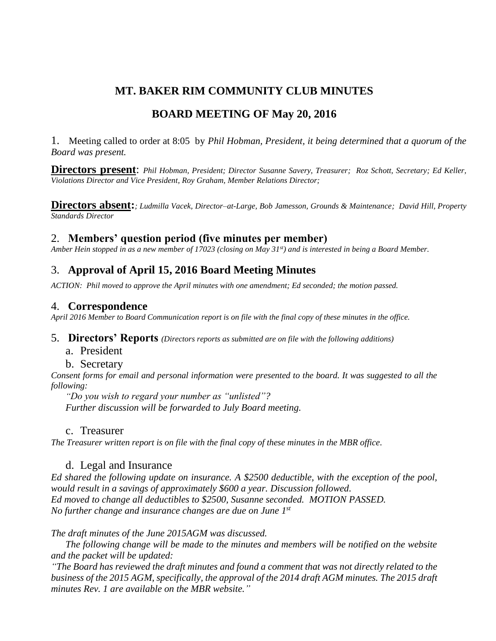# **MT. BAKER RIM COMMUNITY CLUB MINUTES**

# **BOARD MEETING OF May 20, 2016**

1. Meeting called to order at 8:05 by *Phil Hobman, President, it being determined that a quorum of the Board was present.* 

**Directors present**: *Phil Hobman, President; Director Susanne Savery, Treasurer; Roz Schott, Secretary; Ed Keller, Violations Director and Vice President, Roy Graham, Member Relations Director;* 

**Directors absent:***; Ludmilla Vacek, Director–at-Large, Bob Jamesson, Grounds & Maintenance; David Hill, Property Standards Director*

## 2. **Members' question period (five minutes per member)**

*Amber Hein stopped in as a new member of 17023 (closing on May 31st) and is interested in being a Board Member.*

# 3. **Approval of April 15, 2016 Board Meeting Minutes**

*ACTION: Phil moved to approve the April minutes with one amendment; Ed seconded; the motion passed.*

## 4. **Correspondence**

*April 2016 Member to Board Communication report is on file with the final copy of these minutes in the office.* 

- 5. **Directors' Reports** *(Directors reports as submitted are on file with the following additions)*
	- a. President

### b. Secretary

*Consent forms for email and personal information were presented to the board. It was suggested to all the following:* 

*"Do you wish to regard your number as "unlisted"? Further discussion will be forwarded to July Board meeting.*

## c. Treasurer

*The Treasurer written report is on file with the final copy of these minutes in the MBR office.*

## d. Legal and Insurance

*Ed shared the following update on insurance. A \$2500 deductible, with the exception of the pool, would result in a savings of approximately \$600 a year. Discussion followed. Ed moved to change all deductibles to \$2500, Susanne seconded. MOTION PASSED. No further change and insurance changes are due on June 1st*

*The draft minutes of the June 2015AGM was discussed.*

*The following change will be made to the minutes and members will be notified on the website and the packet will be updated:*

*"The Board has reviewed the draft minutes and found a comment that was not directly related to the business of the 2015 AGM, specifically, the approval of the 2014 draft AGM minutes. The 2015 draft minutes Rev. 1 are available on the MBR website."*